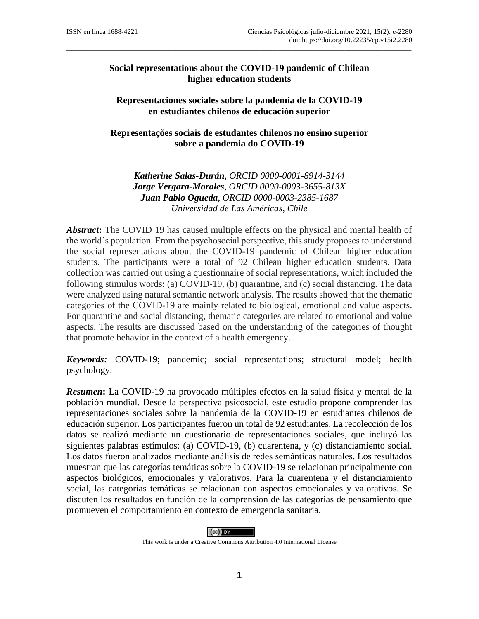# **Social representations about the COVID-19 pandemic of Chilean higher education students**

 $\_$  . The contribution of the contribution of the contribution of the contribution of  $\mathcal{L}_\text{max}$ 

**Representaciones sociales sobre la pandemia de la COVID-19 en estudiantes chilenos de educación superior**

**Representações sociais de estudantes chilenos no ensino superior sobre a pandemia do COVID-19**

*Katherine Salas-Durán, ORCID 0000-0001-8914-3144 Jorge Vergara-Morales, ORCID 0000-0003-3655-813X Juan Pablo Ogueda, ORCID 0000-0003-2385-1687 Universidad de Las Américas, Chile*

*Abstract***:** The COVID 19 has caused multiple effects on the physical and mental health of the world's population. From the psychosocial perspective, this study proposes to understand the social representations about the COVID-19 pandemic of Chilean higher education students. The participants were a total of 92 Chilean higher education students. Data collection was carried out using a questionnaire of social representations, which included the following stimulus words: (a) COVID-19, (b) quarantine, and (c) social distancing. The data were analyzed using natural semantic network analysis. The results showed that the thematic categories of the COVID-19 are mainly related to biological, emotional and value aspects. For quarantine and social distancing, thematic categories are related to emotional and value aspects. The results are discussed based on the understanding of the categories of thought that promote behavior in the context of a health emergency.

*Keywords:* COVID-19; pandemic; social representations; structural model; health psychology.

*Resumen***:** La COVID-19 ha provocado múltiples efectos en la salud física y mental de la población mundial. Desde la perspectiva psicosocial, este estudio propone comprender las representaciones sociales sobre la pandemia de la COVID-19 en estudiantes chilenos de educación superior. Los participantes fueron un total de 92 estudiantes. La recolección de los datos se realizó mediante un cuestionario de representaciones sociales, que incluyó las siguientes palabras estímulos: (a) COVID-19, (b) cuarentena, y (c) distanciamiento social. Los datos fueron analizados mediante análisis de redes semánticas naturales. Los resultados muestran que las categorías temáticas sobre la COVID-19 se relacionan principalmente con aspectos biológicos, emocionales y valorativos. Para la cuarentena y el distanciamiento social, las categorías temáticas se relacionan con aspectos emocionales y valorativos. Se discuten los resultados en función de la comprensión de las categorías de pensamiento que promueven el comportamiento en contexto de emergencia sanitaria.



This work is under a Creative Commons Attribution 4.0 International License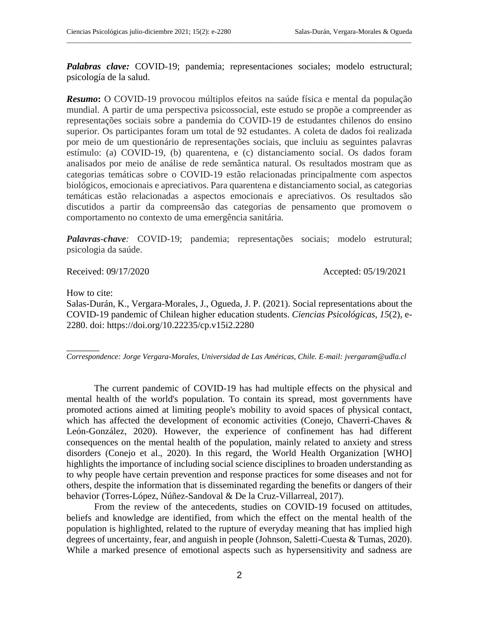*Palabras clave:* COVID-19; pandemia; representaciones sociales; modelo estructural; psicología de la salud.

 $\_$  . The contribution of the contribution of the contribution of the contribution of  $\mathcal{L}_\text{max}$ 

*Resumo***:** O COVID-19 provocou múltiplos efeitos na saúde física e mental da população mundial. A partir de uma perspectiva psicossocial, este estudo se propõe a compreender as representações sociais sobre a pandemia do COVID-19 de estudantes chilenos do ensino superior. Os participantes foram um total de 92 estudantes. A coleta de dados foi realizada por meio de um questionário de representações sociais, que incluiu as seguintes palavras estímulo: (a) COVID-19, (b) quarentena, e (c) distanciamento social. Os dados foram analisados por meio de análise de rede semântica natural. Os resultados mostram que as categorias temáticas sobre o COVID-19 estão relacionadas principalmente com aspectos biológicos, emocionais e apreciativos. Para quarentena e distanciamento social, as categorias temáticas estão relacionadas a aspectos emocionais e apreciativos. Os resultados são discutidos a partir da compreensão das categorias de pensamento que promovem o comportamento no contexto de uma emergência sanitária.

*Palavras-chave:* COVID-19; pandemia; representações sociais; modelo estrutural; psicologia da saúde.

Received: 09/17/2020 Accepted: 05/19/2021

How to cite:

 $\overline{\phantom{a}}$ 

Salas-Durán, K., Vergara-Morales, J., Ogueda, J. P. (2021). Social representations about the COVID-19 pandemic of Chilean higher education students. *Ciencias Psicológicas*, *15*(2), e-2280. doi: https://doi.org/10.22235/cp.v15i2.2280

*Correspondence: Jorge Vergara-Morales, Universidad de Las Américas, Chile. E-mail: [jvergaram@udla.cl](mailto:jvergaram@udla.cl)*

The current pandemic of COVID-19 has had multiple effects on the physical and mental health of the world's population. To contain its spread, most governments have promoted actions aimed at limiting people's mobility to avoid spaces of physical contact, which has affected the development of economic activities (Conejo, Chaverri-Chaves & León-González, 2020). However, the experience of confinement has had different consequences on the mental health of the population, mainly related to anxiety and stress disorders (Conejo et al., 2020). In this regard, the World Health Organization [WHO] highlights the importance of including social science disciplines to broaden understanding as to why people have certain prevention and response practices for some diseases and not for others, despite the information that is disseminated regarding the benefits or dangers of their behavior (Torres-López, Núñez-Sandoval & De la Cruz-Villarreal, 2017).

From the review of the antecedents, studies on COVID-19 focused on attitudes, beliefs and knowledge are identified, from which the effect on the mental health of the population is highlighted, related to the rupture of everyday meaning that has implied high degrees of uncertainty, fear, and anguish in people (Johnson, Saletti-Cuesta & Tumas, 2020). While a marked presence of emotional aspects such as hypersensitivity and sadness are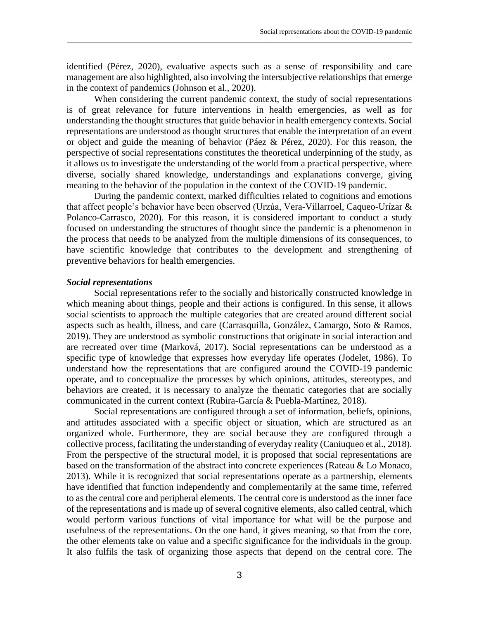identified (Pérez, 2020), evaluative aspects such as a sense of responsibility and care management are also highlighted, also involving the intersubjective relationships that emerge in the context of pandemics (Johnson et al., 2020).

 $\_$  ,  $\_$  ,  $\_$  ,  $\_$  ,  $\_$  ,  $\_$  ,  $\_$  ,  $\_$  ,  $\_$  ,  $\_$  ,  $\_$  ,  $\_$  ,  $\_$  ,  $\_$  ,  $\_$  ,  $\_$  ,  $\_$  ,  $\_$  ,  $\_$  ,  $\_$  ,  $\_$  ,  $\_$  ,  $\_$  ,  $\_$  ,  $\_$  ,  $\_$  ,  $\_$  ,  $\_$  ,  $\_$  ,  $\_$  ,  $\_$  ,  $\_$  ,  $\_$  ,  $\_$  ,  $\_$  ,  $\_$  ,  $\_$  ,

When considering the current pandemic context, the study of social representations is of great relevance for future interventions in health emergencies, as well as for understanding the thought structures that guide behavior in health emergency contexts. Social representations are understood as thought structures that enable the interpretation of an event or object and guide the meaning of behavior (Páez & Pérez, 2020). For this reason, the perspective of social representations constitutes the theoretical underpinning of the study, as it allows us to investigate the understanding of the world from a practical perspective, where diverse, socially shared knowledge, understandings and explanations converge, giving meaning to the behavior of the population in the context of the COVID-19 pandemic.

During the pandemic context, marked difficulties related to cognitions and emotions that affect people's behavior have been observed (Urzúa, Vera-Villarroel, Caqueo-Urízar & Polanco-Carrasco, 2020). For this reason, it is considered important to conduct a study focused on understanding the structures of thought since the pandemic is a phenomenon in the process that needs to be analyzed from the multiple dimensions of its consequences, to have scientific knowledge that contributes to the development and strengthening of preventive behaviors for health emergencies.

#### *Social representations*

Social representations refer to the socially and historically constructed knowledge in which meaning about things, people and their actions is configured. In this sense, it allows social scientists to approach the multiple categories that are created around different social aspects such as health, illness, and care (Carrasquilla, González, Camargo, Soto & Ramos, 2019). They are understood as symbolic constructions that originate in social interaction and are recreated over time (Marková, 2017). Social representations can be understood as a specific type of knowledge that expresses how everyday life operates (Jodelet, 1986). To understand how the representations that are configured around the COVID-19 pandemic operate, and to conceptualize the processes by which opinions, attitudes, stereotypes, and behaviors are created, it is necessary to analyze the thematic categories that are socially communicated in the current context (Rubira-García & Puebla-Martínez, 2018).

Social representations are configured through a set of information, beliefs, opinions, and attitudes associated with a specific object or situation, which are structured as an organized whole. Furthermore, they are social because they are configured through a collective process, facilitating the understanding of everyday reality (Caniuqueo et al., 2018). From the perspective of the structural model, it is proposed that social representations are based on the transformation of the abstract into concrete experiences (Rateau & Lo Monaco, 2013). While it is recognized that social representations operate as a partnership, elements have identified that function independently and complementarily at the same time, referred to as the central core and peripheral elements. The central core is understood as the inner face of the representations and is made up of several cognitive elements, also called central, which would perform various functions of vital importance for what will be the purpose and usefulness of the representations. On the one hand, it gives meaning, so that from the core, the other elements take on value and a specific significance for the individuals in the group. It also fulfils the task of organizing those aspects that depend on the central core. The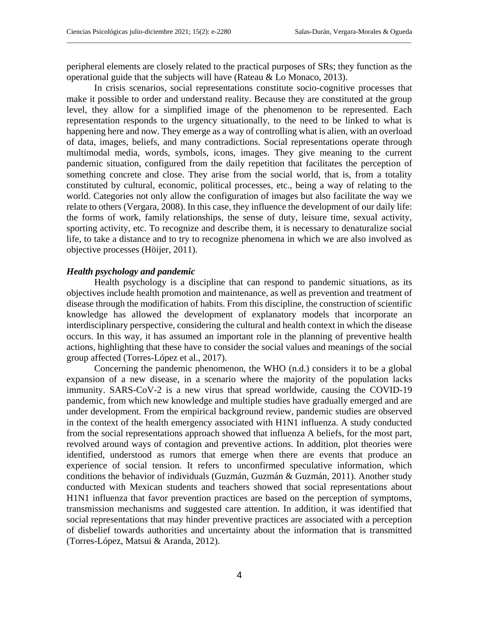peripheral elements are closely related to the practical purposes of SRs; they function as the operational guide that the subjects will have (Rateau & Lo Monaco, 2013).

 $\_$  . The contribution of the contribution of the contribution of the contribution of  $\mathcal{L}_\text{max}$ 

In crisis scenarios, social representations constitute socio-cognitive processes that make it possible to order and understand reality. Because they are constituted at the group level, they allow for a simplified image of the phenomenon to be represented. Each representation responds to the urgency situationally, to the need to be linked to what is happening here and now. They emerge as a way of controlling what is alien, with an overload of data, images, beliefs, and many contradictions. Social representations operate through multimodal media, words, symbols, icons, images. They give meaning to the current pandemic situation, configured from the daily repetition that facilitates the perception of something concrete and close. They arise from the social world, that is, from a totality constituted by cultural, economic, political processes, etc., being a way of relating to the world. Categories not only allow the configuration of images but also facilitate the way we relate to others (Vergara, 2008). In this case, they influence the development of our daily life: the forms of work, family relationships, the sense of duty, leisure time, sexual activity, sporting activity, etc. To recognize and describe them, it is necessary to denaturalize social life, to take a distance and to try to recognize phenomena in which we are also involved as objective processes (Höijer, 2011).

# *Health psychology and pandemic*

Health psychology is a discipline that can respond to pandemic situations, as its objectives include health promotion and maintenance, as well as prevention and treatment of disease through the modification of habits. From this discipline, the construction of scientific knowledge has allowed the development of explanatory models that incorporate an interdisciplinary perspective, considering the cultural and health context in which the disease occurs. In this way, it has assumed an important role in the planning of preventive health actions, highlighting that these have to consider the social values and meanings of the social group affected (Torres-López et al., 2017).

Concerning the pandemic phenomenon, the WHO (n.d.) considers it to be a global expansion of a new disease, in a scenario where the majority of the population lacks immunity. SARS-CoV-2 is a new virus that spread worldwide, causing the COVID-19 pandemic, from which new knowledge and multiple studies have gradually emerged and are under development. From the empirical background review, pandemic studies are observed in the context of the health emergency associated with H1N1 influenza. A study conducted from the social representations approach showed that influenza A beliefs, for the most part, revolved around ways of contagion and preventive actions. In addition, plot theories were identified, understood as rumors that emerge when there are events that produce an experience of social tension. It refers to unconfirmed speculative information, which conditions the behavior of individuals (Guzmán, Guzmán & Guzmán, 2011). Another study conducted with Mexican students and teachers showed that social representations about H1N1 influenza that favor prevention practices are based on the perception of symptoms, transmission mechanisms and suggested care attention. In addition, it was identified that social representations that may hinder preventive practices are associated with a perception of disbelief towards authorities and uncertainty about the information that is transmitted (Torres-López, Matsui & Aranda, 2012).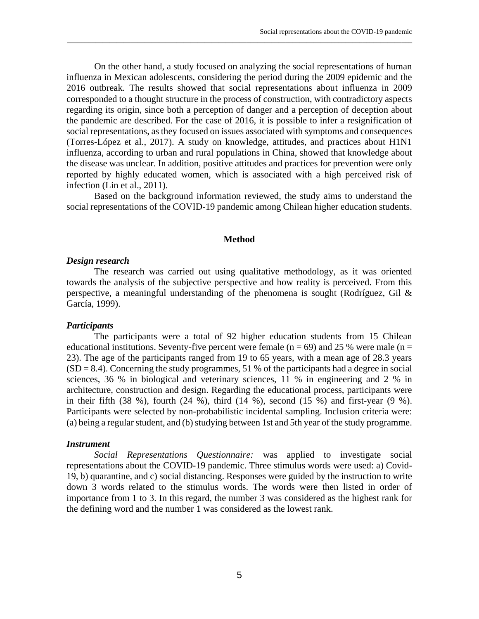On the other hand, a study focused on analyzing the social representations of human influenza in Mexican adolescents, considering the period during the 2009 epidemic and the 2016 outbreak. The results showed that social representations about influenza in 2009 corresponded to a thought structure in the process of construction, with contradictory aspects regarding its origin, since both a perception of danger and a perception of deception about the pandemic are described. For the case of 2016, it is possible to infer a resignification of social representations, as they focused on issues associated with symptoms and consequences (Torres-López et al., 2017). A study on knowledge, attitudes, and practices about H1N1 influenza, according to urban and rural populations in China, showed that knowledge about the disease was unclear. In addition, positive attitudes and practices for prevention were only reported by highly educated women, which is associated with a high perceived risk of infection (Lin et al., 2011).

 $\_$  ,  $\_$  ,  $\_$  ,  $\_$  ,  $\_$  ,  $\_$  ,  $\_$  ,  $\_$  ,  $\_$  ,  $\_$  ,  $\_$  ,  $\_$  ,  $\_$  ,  $\_$  ,  $\_$  ,  $\_$  ,  $\_$  ,  $\_$  ,  $\_$  ,  $\_$  ,  $\_$  ,  $\_$  ,  $\_$  ,  $\_$  ,  $\_$  ,  $\_$  ,  $\_$  ,  $\_$  ,  $\_$  ,  $\_$  ,  $\_$  ,  $\_$  ,  $\_$  ,  $\_$  ,  $\_$  ,  $\_$  ,  $\_$  ,

Based on the background information reviewed, the study aims to understand the social representations of the COVID-19 pandemic among Chilean higher education students.

#### **Method**

# *Design research*

The research was carried out using qualitative methodology, as it was oriented towards the analysis of the subjective perspective and how reality is perceived. From this perspective, a meaningful understanding of the phenomena is sought (Rodríguez, Gil & García, 1999).

# *Participants*

The participants were a total of 92 higher education students from 15 Chilean educational institutions. Seventy-five percent were female ( $n = 69$ ) and 25 % were male ( $n =$ 23). The age of the participants ranged from 19 to 65 years, with a mean age of 28.3 years  $(SD = 8.4)$ . Concerning the study programmes, 51 % of the participants had a degree in social sciences, 36 % in biological and veterinary sciences, 11 % in engineering and 2 % in architecture, construction and design. Regarding the educational process, participants were in their fifth (38 %), fourth (24 %), third (14 %), second (15 %) and first-year (9 %). Participants were selected by non-probabilistic incidental sampling. Inclusion criteria were: (a) being a regular student, and (b) studying between 1st and 5th year of the study programme.

# *Instrument*

*Social Representations Questionnaire:* was applied to investigate social representations about the COVID-19 pandemic. Three stimulus words were used: a) Covid-19, b) quarantine, and c) social distancing. Responses were guided by the instruction to write down 3 words related to the stimulus words. The words were then listed in order of importance from 1 to 3. In this regard, the number 3 was considered as the highest rank for the defining word and the number 1 was considered as the lowest rank.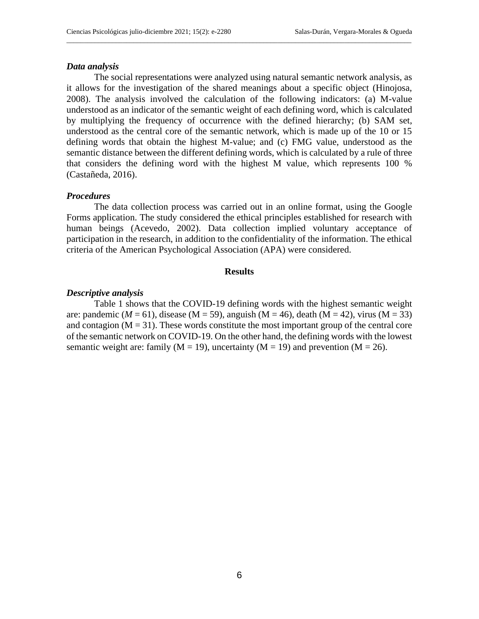#### *Data analysis*

The social representations were analyzed using natural semantic network analysis, as it allows for the investigation of the shared meanings about a specific object (Hinojosa, 2008). The analysis involved the calculation of the following indicators: (a) M-value understood as an indicator of the semantic weight of each defining word, which is calculated by multiplying the frequency of occurrence with the defined hierarchy; (b) SAM set, understood as the central core of the semantic network, which is made up of the 10 or 15 defining words that obtain the highest M-value; and (c) FMG value, understood as the semantic distance between the different defining words, which is calculated by a rule of three that considers the defining word with the highest M value, which represents 100 % (Castañeda, 2016).

 $\_$  . The contribution of the contribution of the contribution of the contribution of  $\mathcal{L}_\text{max}$ 

#### *Procedures*

The data collection process was carried out in an online format, using the Google Forms application. The study considered the ethical principles established for research with human beings (Acevedo, 2002). Data collection implied voluntary acceptance of participation in the research, in addition to the confidentiality of the information. The ethical criteria of the American Psychological Association (APA) were considered.

### **Results**

## *Descriptive analysis*

Table 1 shows that the COVID-19 defining words with the highest semantic weight are: pandemic ( $M = 61$ ), disease ( $M = 59$ ), anguish ( $M = 46$ ), death ( $M = 42$ ), virus ( $M = 33$ ) and contagion  $(M = 31)$ . These words constitute the most important group of the central core of the semantic network on COVID-19. On the other hand, the defining words with the lowest semantic weight are: family ( $M = 19$ ), uncertainty ( $M = 19$ ) and prevention ( $M = 26$ ).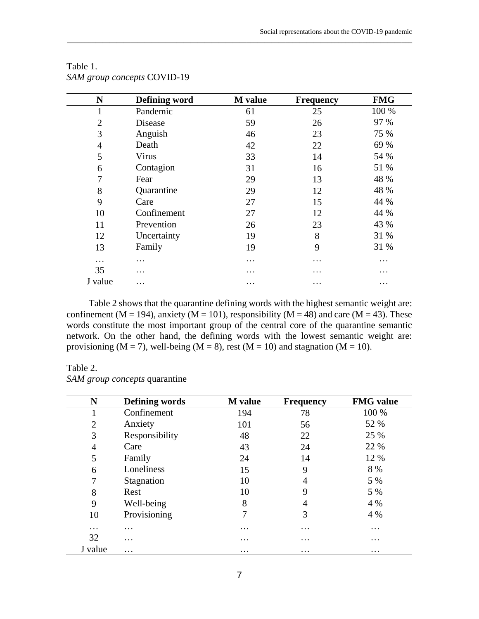| N              | <b>Defining word</b> | <b>M</b> value | <b>Frequency</b> | <b>FMG</b> |
|----------------|----------------------|----------------|------------------|------------|
|                | Pandemic             | 61             | 25               | 100 %      |
| $\overline{2}$ | Disease              | 59             | 26               | 97 %       |
| 3              | Anguish              | 46             | 23               | 75 %       |
| 4              | Death                | 42             | 22               | 69 %       |
| 5              | Virus                | 33             | 14               | 54 %       |
| 6              | Contagion            | 31             | 16               | 51 %       |
| 7              | Fear                 | 29             | 13               | 48 %       |
| 8              | Quarantine           | 29             | 12               | 48 %       |
| 9              | Care                 | 27             | 15               | 44 %       |
| 10             | Confinement          | 27             | 12               | 44 %       |
| 11             | Prevention           | 26             | 23               | 43 %       |
| 12             | Uncertainty          | 19             | 8                | 31 %       |
| 13             | Family               | 19             | 9                | 31 %       |
| $\cdots$       | .                    | .              | .                | $\cdots$   |
| 35             | .                    | .              | $\cdots$         | $\cdots$   |
| J value        | .                    | $\cdots$       | $\cdots$         | $\cdots$   |

 $\_$  ,  $\_$  ,  $\_$  ,  $\_$  ,  $\_$  ,  $\_$  ,  $\_$  ,  $\_$  ,  $\_$  ,  $\_$  ,  $\_$  ,  $\_$  ,  $\_$  ,  $\_$  ,  $\_$  ,  $\_$  ,  $\_$  ,  $\_$  ,  $\_$  ,  $\_$  ,  $\_$  ,  $\_$  ,  $\_$  ,  $\_$  ,  $\_$  ,  $\_$  ,  $\_$  ,  $\_$  ,  $\_$  ,  $\_$  ,  $\_$  ,  $\_$  ,  $\_$  ,  $\_$  ,  $\_$  ,  $\_$  ,  $\_$  ,

# Table 1. *SAM group concepts* COVID-19

Table 2 shows that the quarantine defining words with the highest semantic weight are: confinement (M = 194), anxiety (M = 101), responsibility (M = 48) and care (M = 43). These words constitute the most important group of the central core of the quarantine semantic network. On the other hand, the defining words with the lowest semantic weight are: provisioning ( $M = 7$ ), well-being ( $M = 8$ ), rest ( $M = 10$ ) and stagnation ( $M = 10$ ).

# Table 2.

*SAM group concepts* quarantine

| N              | Defining words | <b>M</b> value | <b>Frequency</b> | <b>FMG</b> value |
|----------------|----------------|----------------|------------------|------------------|
|                | Confinement    | 194            | 78               | 100 %            |
| $\overline{2}$ | Anxiety        | 101            | 56               | 52 %             |
| 3              | Responsibility | 48             | 22               | 25 %             |
| 4              | Care           | 43             | 24               | 22 %             |
| 5              | Family         | 24             | 14               | 12 %             |
| 6              | Loneliness     | 15             | 9                | 8 %              |
| 7              | Stagnation     | 10             | 4                | 5 %              |
| 8              | Rest           | 10             | 9                | 5 %              |
| 9              | Well-being     | 8              | 4                | 4 %              |
| 10             | Provisioning   | 7              | 3                | 4 %              |
| $\cdots$       | $\cdots$       | .              | $\cdots$         | $\cdots$         |
| 32             | .              | .              | $\cdots$         | $\cdots$         |
| J value        | .              | $\cdots$       | $\cdots$         | $\cdots$         |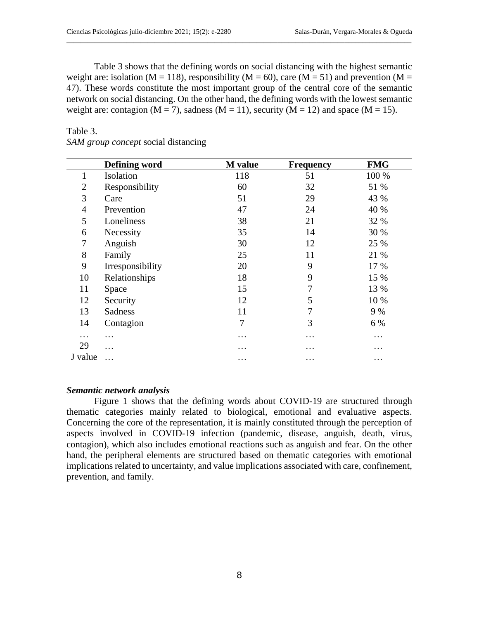*SAM group concept* social distancing

Table 3 shows that the defining words on social distancing with the highest semantic weight are: isolation ( $M = 118$ ), responsibility ( $M = 60$ ), care ( $M = 51$ ) and prevention ( $M =$ 47). These words constitute the most important group of the central core of the semantic network on social distancing. On the other hand, the defining words with the lowest semantic weight are: contagion ( $M = 7$ ), sadness ( $M = 11$ ), security ( $M = 12$ ) and space ( $M = 15$ ).

 $\_$  . The contribution of the contribution of the contribution of the contribution of  $\mathcal{L}_\text{max}$ 

|                | Defining word    | <b>M</b> value | <b>Frequency</b> | <b>FMG</b> |
|----------------|------------------|----------------|------------------|------------|
| 1              | Isolation        | 118            | 51               | 100 %      |
| $\overline{2}$ | Responsibility   | 60             | 32               | 51 %       |
| 3              | Care             | 51             | 29               | 43 %       |
| $\overline{4}$ | Prevention       | 47             | 24               | 40 %       |
| 5              | Loneliness       | 38             | 21               | 32 %       |
| 6              | Necessity        | 35             | 14               | 30 %       |
| 7              | Anguish          | 30             | 12               | 25 %       |
| 8              | Family           | 25             | 11               | 21 %       |
| 9              | Irresponsibility | 20             | 9                | 17 %       |
| 10             | Relationships    | 18             | 9                | 15 %       |
| 11             | Space            | 15             | 7                | 13 %       |
| 12             | Security         | 12             | 5                | 10 %       |
| 13             | <b>Sadness</b>   | 11             | 7                | 9 %        |
| 14             | Contagion        | 7              | 3                | 6 %        |
| .              | .                | .              | .                | $\cdots$   |
| 29             | .                | .              | .                | .          |
| J value        | .                | $\cdots$       | .                | $\cdots$   |

# *Semantic network analysis*

Figure 1 shows that the defining words about COVID-19 are structured through thematic categories mainly related to biological, emotional and evaluative aspects. Concerning the core of the representation, it is mainly constituted through the perception of aspects involved in COVID-19 infection (pandemic, disease, anguish, death, virus, contagion), which also includes emotional reactions such as anguish and fear. On the other hand, the peripheral elements are structured based on thematic categories with emotional implications related to uncertainty, and value implications associated with care, confinement, prevention, and family.

Table 3.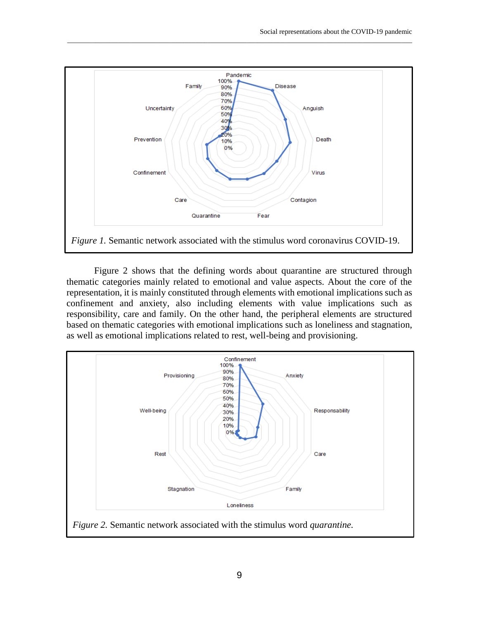

 $\_$  ,  $\_$  ,  $\_$  ,  $\_$  ,  $\_$  ,  $\_$  ,  $\_$  ,  $\_$  ,  $\_$  ,  $\_$  ,  $\_$  ,  $\_$  ,  $\_$  ,  $\_$  ,  $\_$  ,  $\_$  ,  $\_$  ,  $\_$  ,  $\_$  ,  $\_$  ,  $\_$  ,  $\_$  ,  $\_$  ,  $\_$  ,  $\_$  ,  $\_$  ,  $\_$  ,  $\_$  ,  $\_$  ,  $\_$  ,  $\_$  ,  $\_$  ,  $\_$  ,  $\_$  ,  $\_$  ,  $\_$  ,  $\_$  ,

Figure 2 shows that the defining words about quarantine are structured through thematic categories mainly related to emotional and value aspects. About the core of the representation, it is mainly constituted through elements with emotional implications such as confinement and anxiety, also including elements with value implications such as responsibility, care and family. On the other hand, the peripheral elements are structured based on thematic categories with emotional implications such as loneliness and stagnation, as well as emotional implications related to rest, well-being and provisioning.



*Figure 2.* Semantic network associated with the stimulus word *quarantine.*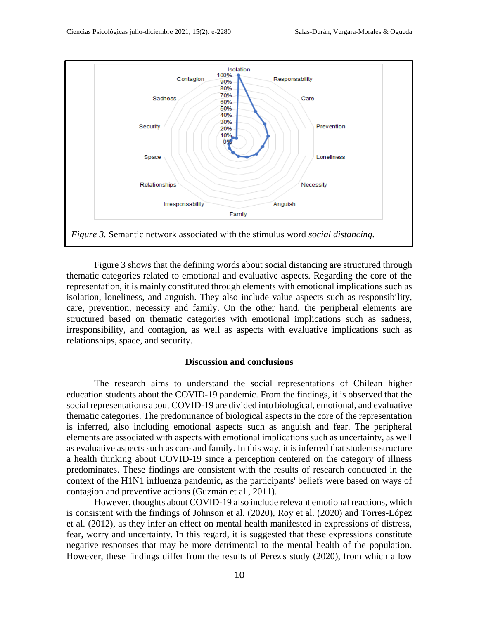

 $\_$  . The contribution of the contribution of the contribution of the contribution of  $\mathcal{L}_\text{max}$ 

Figure 3 shows that the defining words about social distancing are structured through thematic categories related to emotional and evaluative aspects. Regarding the core of the representation, it is mainly constituted through elements with emotional implications such as isolation, loneliness, and anguish. They also include value aspects such as responsibility, care, prevention, necessity and family. On the other hand, the peripheral elements are structured based on thematic categories with emotional implications such as sadness, irresponsibility, and contagion, as well as aspects with evaluative implications such as relationships, space, and security.

## **Discussion and conclusions**

The research aims to understand the social representations of Chilean higher education students about the COVID-19 pandemic. From the findings, it is observed that the social representations about COVID-19 are divided into biological, emotional, and evaluative thematic categories. The predominance of biological aspects in the core of the representation is inferred, also including emotional aspects such as anguish and fear. The peripheral elements are associated with aspects with emotional implications such as uncertainty, as well as evaluative aspects such as care and family. In this way, it is inferred that students structure a health thinking about COVID-19 since a perception centered on the category of illness predominates. These findings are consistent with the results of research conducted in the context of the H1N1 influenza pandemic, as the participants' beliefs were based on ways of contagion and preventive actions (Guzmán et al., 2011).

However, thoughts about COVID-19 also include relevant emotional reactions, which is consistent with the findings of Johnson et al. (2020), Roy et al. (2020) and Torres-López et al. (2012), as they infer an effect on mental health manifested in expressions of distress, fear, worry and uncertainty. In this regard, it is suggested that these expressions constitute negative responses that may be more detrimental to the mental health of the population. However, these findings differ from the results of Pérez's study (2020), from which a low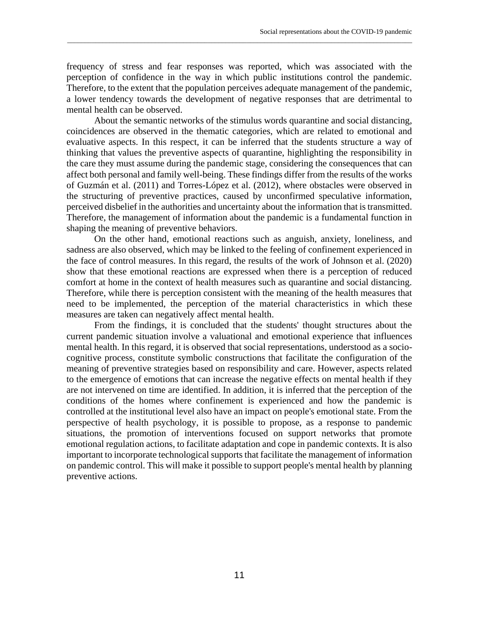frequency of stress and fear responses was reported, which was associated with the perception of confidence in the way in which public institutions control the pandemic. Therefore, to the extent that the population perceives adequate management of the pandemic, a lower tendency towards the development of negative responses that are detrimental to mental health can be observed.

 $\_$  ,  $\_$  ,  $\_$  ,  $\_$  ,  $\_$  ,  $\_$  ,  $\_$  ,  $\_$  ,  $\_$  ,  $\_$  ,  $\_$  ,  $\_$  ,  $\_$  ,  $\_$  ,  $\_$  ,  $\_$  ,  $\_$  ,  $\_$  ,  $\_$  ,  $\_$  ,  $\_$  ,  $\_$  ,  $\_$  ,  $\_$  ,  $\_$  ,  $\_$  ,  $\_$  ,  $\_$  ,  $\_$  ,  $\_$  ,  $\_$  ,  $\_$  ,  $\_$  ,  $\_$  ,  $\_$  ,  $\_$  ,  $\_$  ,

About the semantic networks of the stimulus words quarantine and social distancing, coincidences are observed in the thematic categories, which are related to emotional and evaluative aspects. In this respect, it can be inferred that the students structure a way of thinking that values the preventive aspects of quarantine, highlighting the responsibility in the care they must assume during the pandemic stage, considering the consequences that can affect both personal and family well-being. These findings differ from the results of the works of Guzmán et al. (2011) and Torres-López et al. (2012), where obstacles were observed in the structuring of preventive practices, caused by unconfirmed speculative information, perceived disbelief in the authorities and uncertainty about the information that is transmitted. Therefore, the management of information about the pandemic is a fundamental function in shaping the meaning of preventive behaviors.

On the other hand, emotional reactions such as anguish, anxiety, loneliness, and sadness are also observed, which may be linked to the feeling of confinement experienced in the face of control measures. In this regard, the results of the work of Johnson et al. (2020) show that these emotional reactions are expressed when there is a perception of reduced comfort at home in the context of health measures such as quarantine and social distancing. Therefore, while there is perception consistent with the meaning of the health measures that need to be implemented, the perception of the material characteristics in which these measures are taken can negatively affect mental health.

From the findings, it is concluded that the students' thought structures about the current pandemic situation involve a valuational and emotional experience that influences mental health. In this regard, it is observed that social representations, understood as a sociocognitive process, constitute symbolic constructions that facilitate the configuration of the meaning of preventive strategies based on responsibility and care. However, aspects related to the emergence of emotions that can increase the negative effects on mental health if they are not intervened on time are identified. In addition, it is inferred that the perception of the conditions of the homes where confinement is experienced and how the pandemic is controlled at the institutional level also have an impact on people's emotional state. From the perspective of health psychology, it is possible to propose, as a response to pandemic situations, the promotion of interventions focused on support networks that promote emotional regulation actions, to facilitate adaptation and cope in pandemic contexts. It is also important to incorporate technological supports that facilitate the management of information on pandemic control. This will make it possible to support people's mental health by planning preventive actions.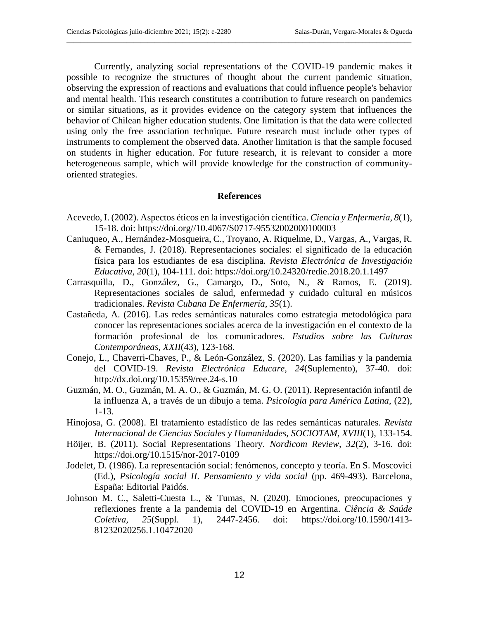Currently, analyzing social representations of the COVID-19 pandemic makes it possible to recognize the structures of thought about the current pandemic situation, observing the expression of reactions and evaluations that could influence people's behavior and mental health. This research constitutes a contribution to future research on pandemics or similar situations, as it provides evidence on the category system that influences the behavior of Chilean higher education students. One limitation is that the data were collected using only the free association technique. Future research must include other types of instruments to complement the observed data. Another limitation is that the sample focused on students in higher education. For future research, it is relevant to consider a more heterogeneous sample, which will provide knowledge for the construction of communityoriented strategies.

 $\_$  . The contribution of the contribution of the contribution of the contribution of  $\mathcal{L}_\text{max}$ 

# **References**

- Acevedo, I. (2002). Aspectos éticos en la investigación científica. *Ciencia y Enfermería, 8*(1), 15-18. doi: [https://doi.org//10.4067/S0717-95532002000100003](https://doi.org/10.4067/S0717-95532002000100003)
- Caniuqueo, A., Hernández-Mosqueira, C., Troyano, A. Riquelme, D., Vargas, A., Vargas, R. & Fernandes, J. (2018). Representaciones sociales: el significado de la educación física para los estudiantes de esa disciplina*. Revista Electrónica de Investigación Educativa, 20*(1), 104-111. doi:<https://doi.org/10.24320/redie.2018.20.1.1497>
- Carrasquilla, D., González, G., Camargo, D., Soto, N., & Ramos, E. (2019). Representaciones sociales de salud, enfermedad y cuidado cultural en músicos tradicionales. *Revista Cubana De Enfermería, 35*(1).
- Castañeda, A. (2016). Las redes semánticas naturales como estrategia metodológica para conocer las representaciones sociales acerca de la investigación en el contexto de la formación profesional de los comunicadores. *Estudios sobre las Culturas Contemporáneas, XXII*(43), 123-168.
- Conejo, L., Chaverri-Chaves, P., & León-González, S. (2020). Las familias y la pandemia del COVID-19. *Revista Electrónica Educare, 24*(Suplemento), 37-40. doi: <http://dx.doi.org/10.15359/ree.24-s.10>
- Guzmán, M. O., Guzmán, M. A. O., & Guzmán, M. G. O. (2011). Representación infantil de la influenza A, a través de un dibujo a tema. *Psicologia para América Latina*, (22), 1-13.
- Hinojosa, G. (2008). El tratamiento estadístico de las redes semánticas naturales. *Revista Internacional de Ciencias Sociales y Humanidades, SOCIOTAM, XVIII*(1), 133-154.
- Höijer, B. (2011). Social Representations Theory. *Nordicom Review, 32*(2), 3-16. doi: <https://doi.org/10.1515/nor-2017-0109>
- Jodelet, D. (1986). La representación social: fenómenos, concepto y teoría. En S. Moscovici (Ed.), *Psicología social II*. *Pensamiento y vida social* (pp. 469-493). Barcelona, España: Editorial Paidós.
- Johnson M. C., Saletti-Cuesta L., & Tumas, N. (2020). Emociones, preocupaciones y reflexiones frente a la pandemia del COVID-19 en Argentina. *Ciência & Saúde Coletiva, 25*(Suppl. 1), 2447-2456. doi: [https://doi.org/10.1590/1413-](https://doi.org/10.1590/1413-81232020256.1.10472020) [81232020256.1.10472020](https://doi.org/10.1590/1413-81232020256.1.10472020)